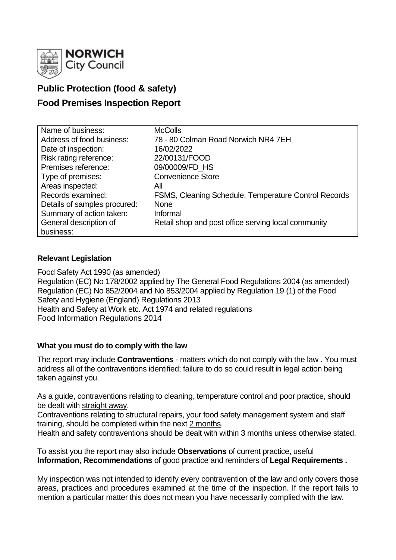

# **Public Protection (food & safety)**

## **Food Premises Inspection Report**

| Name of business:            | <b>McColls</b>                                       |
|------------------------------|------------------------------------------------------|
| Address of food business:    | 78 - 80 Colman Road Norwich NR4 7EH                  |
| Date of inspection:          | 16/02/2022                                           |
| Risk rating reference:       | 22/00131/FOOD                                        |
| Premises reference:          | 09/00009/FD_HS                                       |
| Type of premises:            | <b>Convenience Store</b>                             |
| Areas inspected:             | All                                                  |
| Records examined:            | FSMS, Cleaning Schedule, Temperature Control Records |
| Details of samples procured: | <b>None</b>                                          |
| Summary of action taken:     | Informal                                             |
| General description of       | Retail shop and post office serving local community  |
| business:                    |                                                      |

## **Relevant Legislation**

Food Safety Act 1990 (as amended) Regulation (EC) No 178/2002 applied by The General Food Regulations 2004 (as amended) Regulation (EC) No 852/2004 and No 853/2004 applied by Regulation 19 (1) of the Food Safety and Hygiene (England) Regulations 2013 Health and Safety at Work etc. Act 1974 and related regulations Food Information Regulations 2014

### **What you must do to comply with the law**

The report may include **Contraventions** - matters which do not comply with the law . You must address all of the contraventions identified; failure to do so could result in legal action being taken against you.

As a guide, contraventions relating to cleaning, temperature control and poor practice, should be dealt with straight away.

Contraventions relating to structural repairs, your food safety management system and staff training, should be completed within the next 2 months.

Health and safety contraventions should be dealt with within 3 months unless otherwise stated.

To assist you the report may also include **Observations** of current practice, useful **Information**, **Recommendations** of good practice and reminders of **Legal Requirements .**

My inspection was not intended to identify every contravention of the law and only covers those areas, practices and procedures examined at the time of the inspection. If the report fails to mention a particular matter this does not mean you have necessarily complied with the law.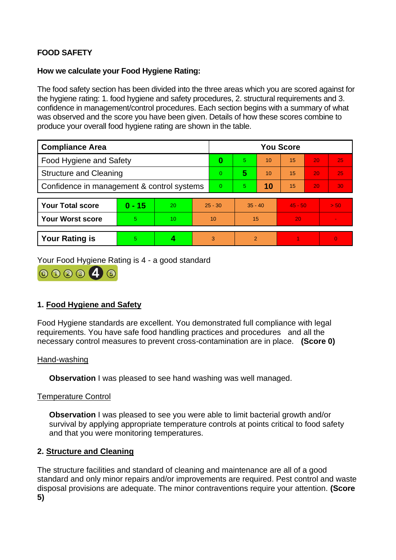## **FOOD SAFETY**

## **How we calculate your Food Hygiene Rating:**

The food safety section has been divided into the three areas which you are scored against for the hygiene rating: 1. food hygiene and safety procedures, 2. structural requirements and 3. confidence in management/control procedures. Each section begins with a summary of what was observed and the score you have been given. Details of how these scores combine to produce your overall food hygiene rating are shown in the table.

| <b>Compliance Area</b>                     |          |    |                | <b>You Score</b> |           |    |           |    |                |  |  |
|--------------------------------------------|----------|----|----------------|------------------|-----------|----|-----------|----|----------------|--|--|
| Food Hygiene and Safety                    |          |    |                | 0                | 5         | 10 | 15        | 20 | 25             |  |  |
| <b>Structure and Cleaning</b>              |          |    | $\overline{0}$ | 5                | 10        | 15 | 20        | 25 |                |  |  |
| Confidence in management & control systems |          |    | $\overline{0}$ | 5                | 10        | 15 | 20        | 30 |                |  |  |
|                                            |          |    |                |                  |           |    |           |    |                |  |  |
| <b>Your Total score</b>                    | $0 - 15$ | 20 | $25 - 30$      |                  | $35 - 40$ |    | $45 - 50$ |    | > 50           |  |  |
| <b>Your Worst score</b>                    | 5        | 10 | 10             |                  | 15        |    | 20        |    | $\blacksquare$ |  |  |
|                                            |          |    |                |                  |           |    |           |    |                |  |  |
| <b>Your Rating is</b>                      | 5        |    |                | 3                | 2         |    |           |    | $\overline{0}$ |  |  |

Your Food Hygiene Rating is 4 - a good standard



## **1. Food Hygiene and Safety**

Food Hygiene standards are excellent. You demonstrated full compliance with legal requirements. You have safe food handling practices and procedures and all the necessary control measures to prevent cross-contamination are in place. **(Score 0)**

### Hand-washing

**Observation** I was pleased to see hand washing was well managed.

## Temperature Control

**Observation** I was pleased to see you were able to limit bacterial growth and/or survival by applying appropriate temperature controls at points critical to food safety and that you were monitoring temperatures.

## **2. Structure and Cleaning**

The structure facilities and standard of cleaning and maintenance are all of a good standard and only minor repairs and/or improvements are required. Pest control and waste disposal provisions are adequate. The minor contraventions require your attention. **(Score 5)**